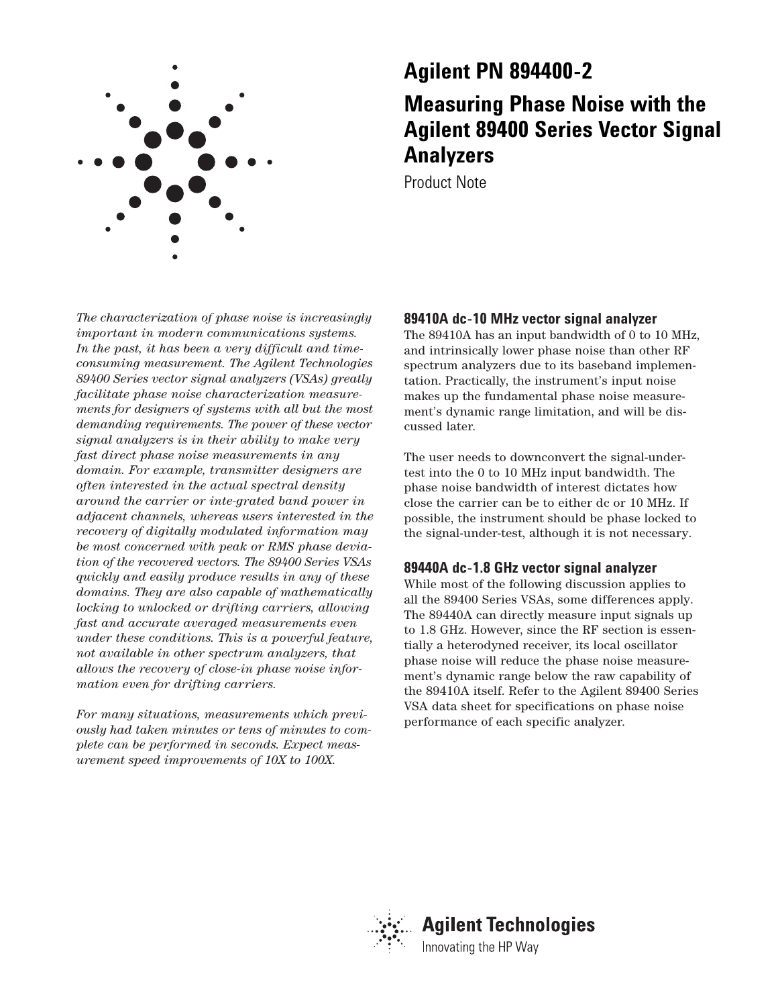

# **Agilent PN 894400-2**

# **Measuring Phase Noise with the Agilent 89400 Series Vector Signal Analyzers**

Product Note

*The characterization of phase noise is increasingly important in modern communications systems. In the past, it has been a very difficult and timeconsuming measurement. The Agilent Technologies 89400 Series vector signal analyzers (VSAs) greatly facilitate phase noise characterization measurements for designers of systems with all but the most demanding requirements. The power of these vector signal analyzers is in their ability to make very fast direct phase noise measurements in any domain. For example, transmitter designers are often interested in the actual spectral density around the carrier or inte-grated band power in adjacent channels, whereas users interested in the recovery of digitally modulated information may be most concerned with peak or RMS phase deviation of the recovered vectors. The 89400 Series VSAs quickly and easily produce results in any of these domains. They are also capable of mathematically locking to unlocked or drifting carriers, allowing fast and accurate averaged measurements even under these conditions. This is a powerful feature, not available in other spectrum analyzers, that allows the recovery of close-in phase noise information even for drifting carriers.*

*For many situations, measurements which previously had taken minutes or tens of minutes to complete can be performed in seconds. Expect measurement speed improvements of 10X to 100X.*

# **89410A dc-10 MHz vector signal analyzer**

The 89410A has an input bandwidth of 0 to 10 MHz, and intrinsically lower phase noise than other RF spectrum analyzers due to its baseband implementation. Practically, the instrument's input noise makes up the fundamental phase noise measurement's dynamic range limitation, and will be discussed later.

The user needs to downconvert the signal-undertest into the 0 to 10 MHz input bandwidth. The phase noise bandwidth of interest dictates how close the carrier can be to either dc or 10 MHz. If possible, the instrument should be phase locked to the signal-under-test, although it is not necessary.

## **89440A dc-1.8 GHz vector signal analyzer**

While most of the following discussion applies to all the 89400 Series VSAs, some differences apply. The 89440A can directly measure input signals up to 1.8 GHz. However, since the RF section is essentially a heterodyned receiver, its local oscillator phase noise will reduce the phase noise measurement's dynamic range below the raw capability of the 89410A itself. Refer to the Agilent 89400 Series VSA data sheet for specifications on phase noise performance of each specific analyzer.

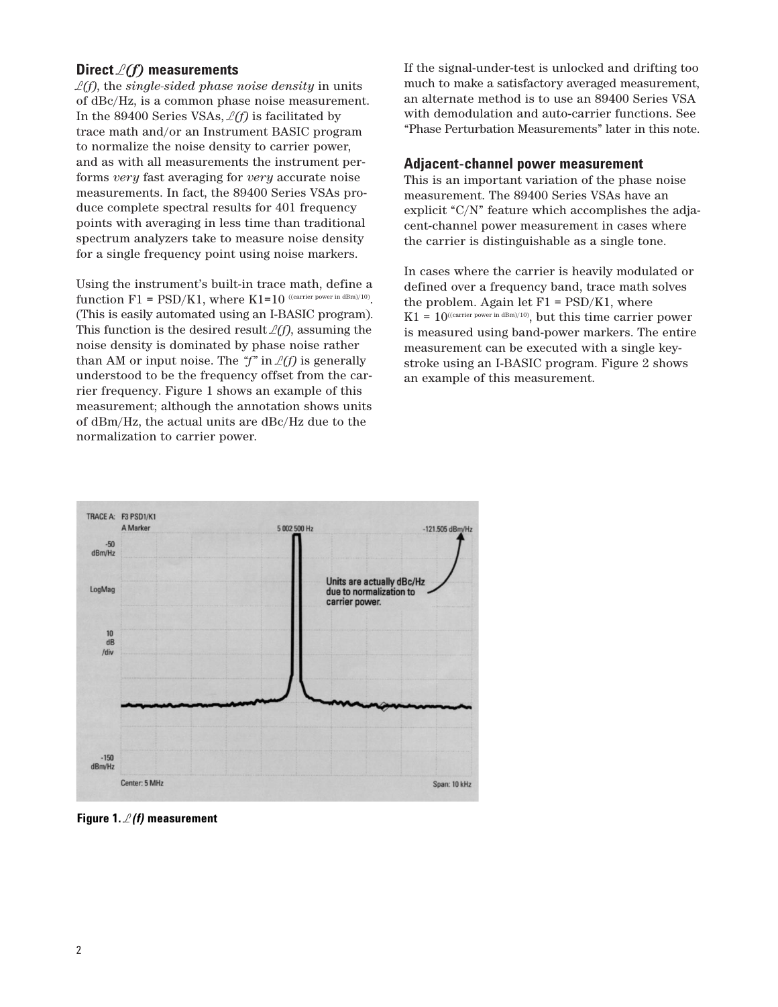## **Direct** *L(f)* **measurements**

*L(f)*, the *single-sided phase noise density* in units of dBc/Hz, is a common phase noise measurement. In the 89400 Series VSAs, *L(f)* is facilitated by trace math and/or an Instrument BASIC program to normalize the noise density to carrier power, and as with all measurements the instrument performs *very* fast averaging for *very* accurate noise measurements. In fact, the 89400 Series VSAs produce complete spectral results for 401 frequency points with averaging in less time than traditional spectrum analyzers take to measure noise density for a single frequency point using noise markers.

Using the instrument's built-in trace math, define a function  $F1 = PSD/K1$ , where  $K1=10$  ((carrier power in dBm)/10). (This is easily automated using an I-BASIC program). This function is the desired result  $\mathcal{L}(f)$ , assuming the noise density is dominated by phase noise rather than AM or input noise. The  $\mathscr{L}(f)$  is generally understood to be the frequency offset from the carrier frequency. Figure 1 shows an example of this measurement; although the annotation shows units of dBm/Hz, the actual units are dBc/Hz due to the normalization to carrier power.

If the signal-under-test is unlocked and drifting too much to make a satisfactory averaged measurement, an alternate method is to use an 89400 Series VSA with demodulation and auto-carrier functions. See "Phase Perturbation Measurements" later in this note.

#### **Adjacent-channel power measurement**

This is an important variation of the phase noise measurement. The 89400 Series VSAs have an explicit "C/N" feature which accomplishes the adjacent-channel power measurement in cases where the carrier is distinguishable as a single tone.

In cases where the carrier is heavily modulated or defined over a frequency band, trace math solves the problem. Again let  $F1 = \text{PSD/K1}$ , where  $K1 = 10^{((\text{carrier power in dBm})/10)}$ , but this time carrier power is measured using band-power markers. The entire measurement can be executed with a single keystroke using an I-BASIC program. Figure 2 shows an example of this measurement.



**Figure 1.** *L(f)* **measurement**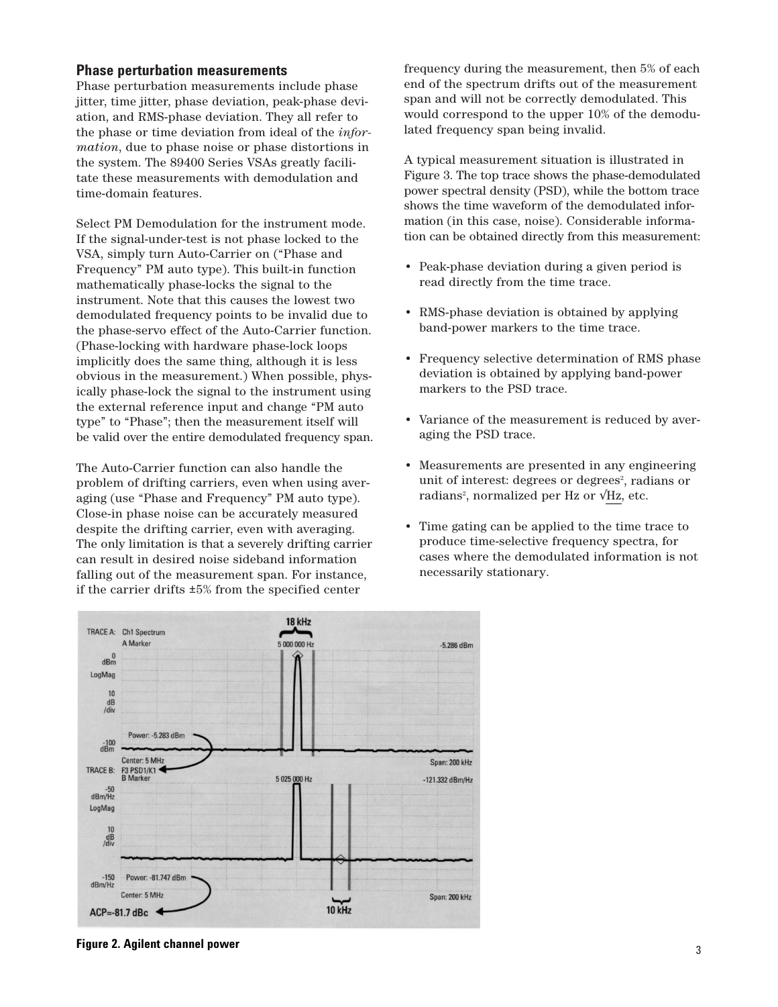### **Phase perturbation measurements**

Phase perturbation measurements include phase jitter, time jitter, phase deviation, peak-phase deviation, and RMS-phase deviation. They all refer to the phase or time deviation from ideal of the *information*, due to phase noise or phase distortions in the system. The 89400 Series VSAs greatly facilitate these measurements with demodulation and time-domain features.

Select PM Demodulation for the instrument mode. If the signal-under-test is not phase locked to the VSA, simply turn Auto-Carrier on ("Phase and Frequency" PM auto type). This built-in function mathematically phase-locks the signal to the instrument. Note that this causes the lowest two demodulated frequency points to be invalid due to the phase-servo effect of the Auto-Carrier function. (Phase-locking with hardware phase-lock loops implicitly does the same thing, although it is less obvious in the measurement.) When possible, physically phase-lock the signal to the instrument using the external reference input and change "PM auto type" to "Phase"; then the measurement itself will be valid over the entire demodulated frequency span.

The Auto-Carrier function can also handle the problem of drifting carriers, even when using averaging (use "Phase and Frequency" PM auto type). Close-in phase noise can be accurately measured despite the drifting carrier, even with averaging. The only limitation is that a severely drifting carrier can result in desired noise sideband information falling out of the measurement span. For instance, if the carrier drifts ±5% from the specified center

frequency during the measurement, then 5% of each end of the spectrum drifts out of the measurement span and will not be correctly demodulated. This would correspond to the upper 10% of the demodulated frequency span being invalid.

A typical measurement situation is illustrated in Figure 3. The top trace shows the phase-demodulated power spectral density (PSD), while the bottom trace shows the time waveform of the demodulated information (in this case, noise). Considerable information can be obtained directly from this measurement:

- Peak-phase deviation during a given period is read directly from the time trace.
- RMS-phase deviation is obtained by applying band-power markers to the time trace.
- Frequency selective determination of RMS phase deviation is obtained by applying band-power markers to the PSD trace.
- Variance of the measurement is reduced by averaging the PSD trace.
- Measurements are presented in any engineering unit of interest: degrees or degrees<sup>2</sup>, radians or radians<sup>2</sup>, normalized per Hz or  $\sqrt{Hz}$ , etc.
- Time gating can be applied to the time trace to produce time-selective frequency spectra, for cases where the demodulated information is not necessarily stationary.



**Figure 2. Agilent channel power**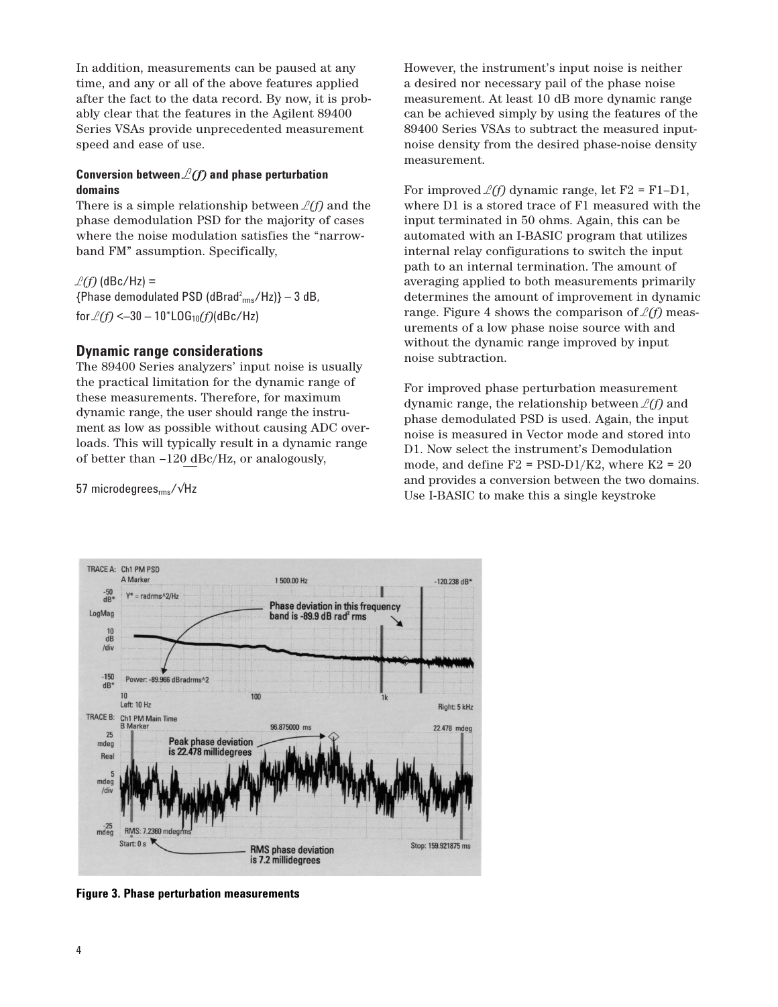In addition, measurements can be paused at any time, and any or all of the above features applied after the fact to the data record. By now, it is probably clear that the features in the Agilent 89400 Series VSAs provide unprecedented measurement speed and ease of use.

## **Conversion between** *L(f)* **and phase perturbation domains**

There is a simple relationship between  $\mathcal{L}(f)$  and the phase demodulation PSD for the majority of cases where the noise modulation satisfies the "narrowband FM" assumption. Specifically,

 $L(f)$  (dBc/Hz) =

 ${Phase demodulated PSD (dBrad<sup>2</sup><sub>rms</sub>/Hz)} - 3 dB$ , for *L(f)* <–30 – 10\*LOG10*(f)*(dBc/Hz)

## **Dynamic range considerations**

The 89400 Series analyzers' input noise is usually the practical limitation for the dynamic range of these measurements. Therefore, for maximum dynamic range, the user should range the instrument as low as possible without causing ADC overloads. This will typically result in a dynamic range of better than –120 dBc/Hz, or analogously,

57 microdegrees<sub>rms</sub>/√Hz

TRACE A: Ch1 PM PSD

However, the instrument's input noise is neither a desired nor necessary pail of the phase noise measurement. At least 10 dB more dynamic range can be achieved simply by using the features of the 89400 Series VSAs to subtract the measured inputnoise density from the desired phase-noise density measurement.

For improved  $\ell(f)$  dynamic range, let F2 = F1–D1, where D1 is a stored trace of F1 measured with the input terminated in 50 ohms. Again, this can be automated with an I-BASIC program that utilizes internal relay configurations to switch the input path to an internal termination. The amount of averaging applied to both measurements primarily determines the amount of improvement in dynamic range. Figure 4 shows the comparison of  $\mathcal{L}(f)$  measurements of a low phase noise source with and without the dynamic range improved by input noise subtraction.

For improved phase perturbation measurement dynamic range, the relationship between *L(f)* and phase demodulated PSD is used. Again, the input noise is measured in Vector mode and stored into D1. Now select the instrument's Demodulation mode, and define  $F2 = PSD-D1/K2$ , where  $K2 = 20$ and provides a conversion between the two domains. Use I-BASIC to make this a single keystroke



**Figure 3. Phase perturbation measurements**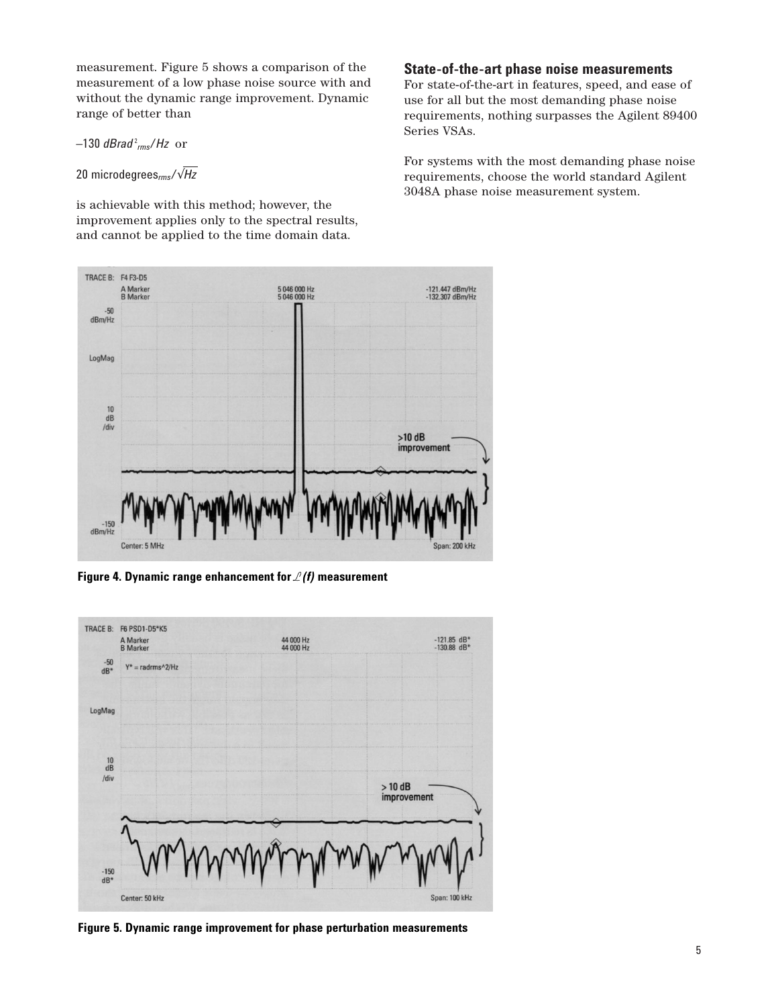measurement. Figure 5 shows a comparison of the measurement of a low phase noise source with and without the dynamic range improvement. Dynamic range of better than

 $-130$  *dBrad<sup>2</sup><sub>rms</sub>/Hz* or

```
20 microdegreesrms/√Hz
```
is achievable with this method; however, the improvement applies only to the spectral results, and cannot be applied to the time domain data.

## **State-of-the-art phase noise measurements**

For state-of-the-art in features, speed, and ease of use for all but the most demanding phase noise requirements, nothing surpasses the Agilent 89400 Series VSAs.

For systems with the most demanding phase noise requirements, choose the world standard Agilent 3048A phase noise measurement system.



**Figure 4. Dynamic range enhancement for** *L(f)* **measurement**



**Figure 5. Dynamic range improvement for phase perturbation measurements**